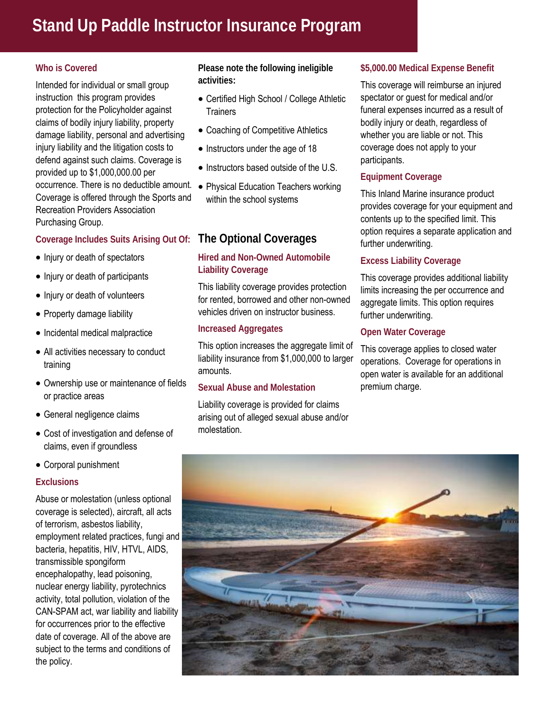# **Stand Up Paddle Instructor Insurance Program**

### **Who is Covered**

Intended for individual or small group instruction this program provides protection for the Policyholder against claims of bodily injury liability, property damage liability, personal and advertising injury liability and the litigation costs to defend against such claims. Coverage is provided up to \$1,000,000.00 per occurrence. There is no deductible amount. Coverage is offered through the Sports and Recreation Providers Association Purchasing Group.

### **Coverage Includes Suits Arising Out Of:**

- Injury or death of spectators
- Injury or death of participants
- Injury or death of volunteers
- Property damage liability
- Incidental medical malpractice
- All activities necessary to conduct training
- Ownership use or maintenance of fields or practice areas
- General negligence claims
- Cost of investigation and defense of claims, even if groundless
- Corporal punishment

#### **Exclusions**

Abuse or molestation (unless optional coverage is selected), aircraft, all acts of terrorism, asbestos liability, employment related practices, fungi and bacteria, hepatitis, HIV, HTVL, AIDS, transmissible spongiform encephalopathy, lead poisoning, nuclear energy liability, pyrotechnics activity, total pollution, violation of the CAN-SPAM act, war liability and liability for occurrences prior to the effective date of coverage. All of the above are subject to the terms and conditions of the policy.

**Please note the following ineligible activities:** 

- Certified High School / College Athletic **Trainers**
- Coaching of Competitive Athletics
- Instructors under the age of 18
- Instructors based outside of the U.S.
- Physical Education Teachers working within the school systems

## **The Optional Coverages**

### **Hired and Non-Owned Automobile Liability Coverage**

This liability coverage provides protection for rented, borrowed and other non-owned vehicles driven on instructor business.

#### **Increased Aggregates**

This option increases the aggregate limit of liability insurance from \$1,000,000 to larger amounts.

### **Sexual Abuse and Molestation**

Liability coverage is provided for claims arising out of alleged sexual abuse and/or molestation.

#### **\$5,000.00 Medical Expense Benefit**

This coverage will reimburse an injured spectator or guest for medical and/or funeral expenses incurred as a result of bodily injury or death, regardless of whether you are liable or not. This coverage does not apply to your participants.

#### **Equipment Coverage**

This Inland Marine insurance product provides coverage for your equipment and contents up to the specified limit. This option requires a separate application and further underwriting.

#### **Excess Liability Coverage**

This coverage provides additional liability limits increasing the per occurrence and aggregate limits. This option requires further underwriting.

#### **Open Water Coverage**

This coverage applies to closed water operations. Coverage for operations in open water is available for an additional premium charge.

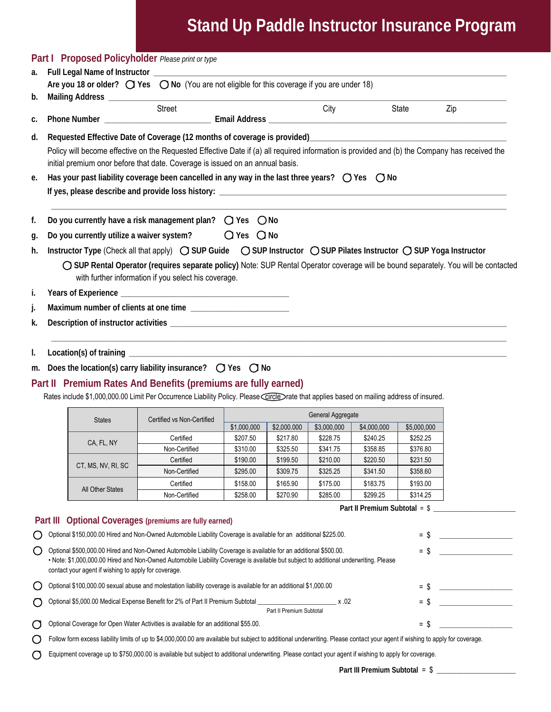# **Stand Up Paddle Instructor Insurance Program**

|    |                                                                                                                                                        |                                                                                                    | Part I Proposed Policyholder Please print or type                                                                                                                                                                                    |             |             |                   |                               |             |     |
|----|--------------------------------------------------------------------------------------------------------------------------------------------------------|----------------------------------------------------------------------------------------------------|--------------------------------------------------------------------------------------------------------------------------------------------------------------------------------------------------------------------------------------|-------------|-------------|-------------------|-------------------------------|-------------|-----|
| а. | Full Legal Name of Instructor ____________________<br>Are you 18 or older? $O$ Yes $O$ No (You are not eligible for this coverage if you are under 18) |                                                                                                    |                                                                                                                                                                                                                                      |             |             |                   |                               |             |     |
|    |                                                                                                                                                        |                                                                                                    |                                                                                                                                                                                                                                      |             |             |                   |                               |             |     |
| b. |                                                                                                                                                        |                                                                                                    |                                                                                                                                                                                                                                      |             |             |                   |                               |             |     |
|    |                                                                                                                                                        |                                                                                                    | Street                                                                                                                                                                                                                               |             |             | City              |                               | State       | Zip |
| С. |                                                                                                                                                        |                                                                                                    |                                                                                                                                                                                                                                      |             |             |                   |                               |             |     |
| d. |                                                                                                                                                        |                                                                                                    | Requested Effective Date of Coverage (12 months of coverage is provided)<br>12. movided Coverage Sprovided (12 months of coverage is provided)<br>2. movidate 2. movided Coverage (12 months of coverage is provided)<br>2. movidate |             |             |                   |                               |             |     |
|    |                                                                                                                                                        |                                                                                                    | Policy will become effective on the Requested Effective Date if (a) all required information is provided and (b) the Company has received the<br>initial premium onor before that date. Coverage is issued on an annual basis.       |             |             |                   |                               |             |     |
| е. |                                                                                                                                                        | Has your past liability coverage been cancelled in any way in the last three years? $O$ Yes $O$ No |                                                                                                                                                                                                                                      |             |             |                   |                               |             |     |
|    |                                                                                                                                                        |                                                                                                    |                                                                                                                                                                                                                                      |             |             |                   |                               |             |     |
|    |                                                                                                                                                        |                                                                                                    |                                                                                                                                                                                                                                      |             |             |                   |                               |             |     |
| f. |                                                                                                                                                        |                                                                                                    | Do you currently have a risk management plan? $\bigcirc$ Yes $\bigcirc$ No                                                                                                                                                           |             |             |                   |                               |             |     |
| g. |                                                                                                                                                        |                                                                                                    | Do you currently utilize a waiver system? $Q$ Yes $Q$ No                                                                                                                                                                             |             |             |                   |                               |             |     |
| h. |                                                                                                                                                        |                                                                                                    | Instructor Type (Check all that apply) C SUP Guide C SUP Instructor C SUP Pilates Instructor C SUP Yoga Instructor                                                                                                                   |             |             |                   |                               |             |     |
|    |                                                                                                                                                        |                                                                                                    | O SUP Rental Operator (requires separate policy) Note: SUP Rental Operator coverage will be bound separately. You will be contacted                                                                                                  |             |             |                   |                               |             |     |
|    |                                                                                                                                                        |                                                                                                    | with further information if you select his coverage.                                                                                                                                                                                 |             |             |                   |                               |             |     |
| İ. |                                                                                                                                                        |                                                                                                    |                                                                                                                                                                                                                                      |             |             |                   |                               |             |     |
| j. |                                                                                                                                                        |                                                                                                    |                                                                                                                                                                                                                                      |             |             |                   |                               |             |     |
| k. |                                                                                                                                                        |                                                                                                    |                                                                                                                                                                                                                                      |             |             |                   |                               |             |     |
|    |                                                                                                                                                        |                                                                                                    |                                                                                                                                                                                                                                      |             |             |                   |                               |             |     |
| I. |                                                                                                                                                        |                                                                                                    |                                                                                                                                                                                                                                      |             |             |                   |                               |             |     |
|    |                                                                                                                                                        |                                                                                                    | m. Does the location(s) carry liability insurance? $\bigcirc$ Yes $\bigcirc$ No                                                                                                                                                      |             |             |                   |                               |             |     |
|    |                                                                                                                                                        |                                                                                                    |                                                                                                                                                                                                                                      |             |             |                   |                               |             |     |
|    |                                                                                                                                                        |                                                                                                    | Part II Premium Rates And Benefits (premiums are fully earned)                                                                                                                                                                       |             |             |                   |                               |             |     |
|    |                                                                                                                                                        |                                                                                                    | Rates include \$1,000,000.00 Limit Per Occurrence Liability Policy. Please Circle rate that applies based on mailing address of insured.                                                                                             |             |             |                   |                               |             |     |
|    |                                                                                                                                                        | <b>States</b>                                                                                      | Certified vs Non-Certified                                                                                                                                                                                                           |             |             | General Aggregate |                               |             |     |
|    |                                                                                                                                                        |                                                                                                    |                                                                                                                                                                                                                                      | \$1,000,000 | \$2,000.000 | \$3,000,000       | \$4,000,000                   | \$5,000,000 |     |
|    |                                                                                                                                                        | CA, FL, NY                                                                                         | Certified                                                                                                                                                                                                                            | \$207.50    | \$217.80    | \$228.75          | \$240.25                      | \$252.25    |     |
|    |                                                                                                                                                        |                                                                                                    | Non-Certified                                                                                                                                                                                                                        | \$310.00    | \$325.50    | \$341.75          | \$358.85                      | \$376.80    |     |
|    |                                                                                                                                                        | CT, MS, NV, RI, SC                                                                                 | Certified                                                                                                                                                                                                                            | \$190.00    | \$199.50    | \$210.00          | \$220.50                      | \$231.50    |     |
|    |                                                                                                                                                        |                                                                                                    | Non-Certified                                                                                                                                                                                                                        | \$295.00    | \$309.75    | \$325.25          | \$341.50                      | \$358.60    |     |
|    |                                                                                                                                                        | All Other States                                                                                   | Certified                                                                                                                                                                                                                            | \$158.00    | \$165.90    | \$175.00          | \$183.75                      | \$193.00    |     |
|    |                                                                                                                                                        |                                                                                                    | Non-Certified                                                                                                                                                                                                                        | \$258.00    | \$270.90    | \$285.00          | \$299.25                      | \$314.25    |     |
|    |                                                                                                                                                        |                                                                                                    |                                                                                                                                                                                                                                      |             |             |                   | Part II Premium Subtotal = \$ |             |     |

#### **Part III Optional Coverages (premiums are fully earned)**

| Optional \$150,000.00 Hired and Non-Owned Automobile Liability Coverage is available for an additional \$225.00.                                                                                                                                                                                                 | Ξ.  |  |
|------------------------------------------------------------------------------------------------------------------------------------------------------------------------------------------------------------------------------------------------------------------------------------------------------------------|-----|--|
| Optional \$500,000.00 Hired and Non-Owned Automobile Liability Coverage is available for an additional \$500.00.<br>• Note: \$1,000,000.00 Hired and Non-Owned Automobile Liability Coverage is available but subject to additional underwriting. Please<br>contact your agent if wishing to apply for coverage. | $=$ |  |
| Optional \$100,000.00 sexual abuse and molestation liability coverage is available for an additional \$1,000.00                                                                                                                                                                                                  |     |  |
| Optional \$5,000.00 Medical Expense Benefit for 2% of Part II Premium Subtotal<br>x .02<br>Part II Premium Subtotal                                                                                                                                                                                              |     |  |
| Optional Coverage for Open Water Activities is available for an additional \$55.00.                                                                                                                                                                                                                              | Ξ.  |  |
| Follow form excess liability limits of up to \$4,000,000.00 are available but subject to additional underwriting. Please contact your agent if wishing to apply for coverage.                                                                                                                                    |     |  |

Equipment coverage up to \$750,000.00 is available but subject to additional underwriting. Please contact your agent if wishing to apply for coverage.